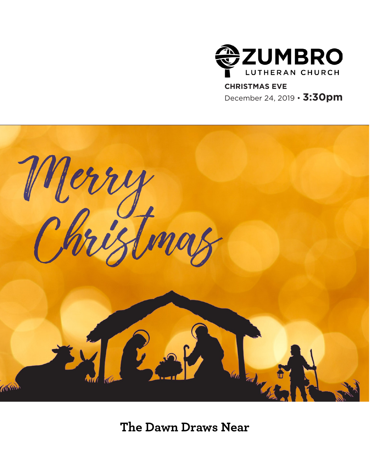

**CHRISTMAS EVE** December 24, 2019 • **3:30pm**



**The Dawn Draws Near**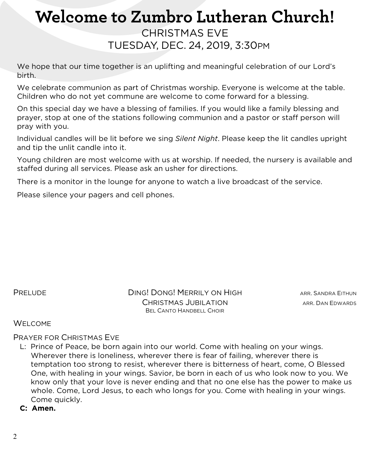# **Welcome to Zumbro Lutheran Church!** CHRISTMAS EVE TUESDAY, DEC. 24, 2019, 3:30PM

We hope that our time together is an uplifting and meaningful celebration of our Lord's birth.

We celebrate communion as part of Christmas worship. Everyone is welcome at the table. Children who do not yet commune are welcome to come forward for a blessing.

On this special day we have a blessing of families. If you would like a family blessing and prayer, stop at one of the stations following communion and a pastor or staff person will pray with you.

Individual candles will be lit before we sing *Silent Night*. Please keep the lit candles upright and tip the unlit candle into it.

Young children are most welcome with us at worship. If needed, the nursery is available and staffed during all services. Please ask an usher for directions.

There is a monitor in the lounge for anyone to watch a live broadcast of the service.

Please silence your pagers and cell phones.

PRELUDE DING! DONG! MERRILY ON HIGH ARR. SANDRA EITHUN CHRISTMAS JUBILATION ARR DAN EDWARDS BEL CANTO HANDBELL CHOIR

# WELCOME

# PRAYER FOR CHRISTMAS EVE

- L: Prince of Peace, be born again into our world. Come with healing on your wings. Wherever there is loneliness, wherever there is fear of failing, wherever there is temptation too strong to resist, wherever there is bitterness of heart, come, O Blessed One, with healing in your wings. Savior, be born in each of us who look now to you. We know only that your love is never ending and that no one else has the power to make us whole. Come, Lord Jesus, to each who longs for you. Come with healing in your wings. Come quickly.
- **C: Amen.**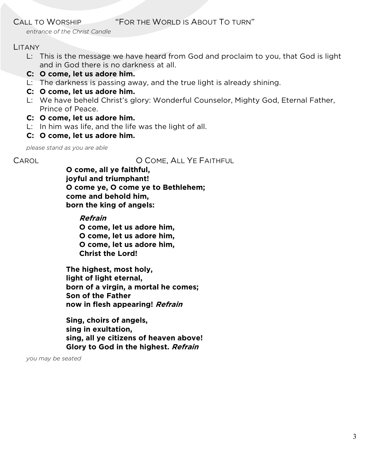*entrance of the Christ Candle*

#### LITANY

L: This is the message we have heard from God and proclaim to you, that God is light and in God there is no darkness at all.

### **C: O come, let us adore him.**

- L: The darkness is passing away, and the true light is already shining.
- **C: O come, let us adore him.**
- L: We have beheld Christ's glory: Wonderful Counselor, Mighty God, Eternal Father, Prince of Peace.
- **C: O come, let us adore him.**
- L: In him was life, and the life was the light of all.
- **C: O come, let us adore him.**

*please stand as you are able*

CAROL O COME, ALL YE FAITHFUL

**O come, all ye faithful, joyful and triumphant! O come ye, O come ye to Bethlehem; come and behold him, born the king of angels:** 

**Refrain O come, let us adore him, O come, let us adore him, O come, let us adore him, Christ the Lord!**

**The highest, most holy, light of light eternal, born of a virgin, a mortal he comes; Son of the Father now in flesh appearing! Refrain** 

**Sing, choirs of angels, sing in exultation, sing, all ye citizens of heaven above! Glory to God in the highest. Refrain** 

*you may be seated*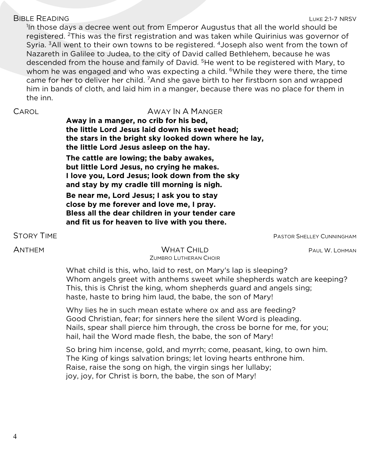# BIBLE READING LUKE 2:1-7 NRSV

<sup>1</sup>In those days a decree went out from Emperor Augustus that all the world should be registered. 2This was the first registration and was taken while Quirinius was governor of Syria. <sup>3</sup>All went to their own towns to be registered. <sup>4</sup>Joseph also went from the town of Nazareth in Galilee to Judea, to the city of David called Bethlehem, because he was descended from the house and family of David. 5He went to be registered with Mary, to whom he was engaged and who was expecting a child.  $6$ While they were there, the time came for her to deliver her child. 7And she gave birth to her firstborn son and wrapped him in bands of cloth, and laid him in a manger, because there was no place for them in the inn.

#### CAROL CAROL CAROL CAROL CAROL

**Away in a manger, no crib for his bed, the little Lord Jesus laid down his sweet head; the stars in the bright sky looked down where he lay, the little Lord Jesus asleep on the hay.**

**The cattle are lowing; the baby awakes, but little Lord Jesus, no crying he makes. I love you, Lord Jesus; look down from the sky and stay by my cradle till morning is nigh.** 

**Be near me, Lord Jesus; I ask you to stay close by me forever and love me, I pray. Bless all the dear children in your tender care and fit us for heaven to live with you there.** 

STORY TIME **EXECUTE A STORY TIME** PASTOR SHELLEY CUNNINGHAM

ANTHEM WHAT CHILD PAUL W. LOHMAN ZUMBRO LUTHERAN CHOIR

> What child is this, who, laid to rest, on Mary's lap is sleeping?         Whom angels greet with anthems sweet while shepherds watch are keeping?         This, this is Christ the king, whom shepherds guard and angels sing;         haste, haste to bring him laud, the babe, the son of Mary!

        Why lies he in such mean estate where ox and ass are feeding?         Good Christian, fear; for sinners here the silent Word is pleading.         Nails, spear shall pierce him through, the cross be borne for me, for you;         hail, hail the Word made flesh, the babe, the son of Mary!

      So bring him incense, gold, and myrrh; come, peasant, king, to own him.         The King of kings salvation brings; let loving hearts enthrone him.         Raise, raise the song on high, the virgin sings her lullaby;         joy, joy, for Christ is born, the babe, the son of Mary!

4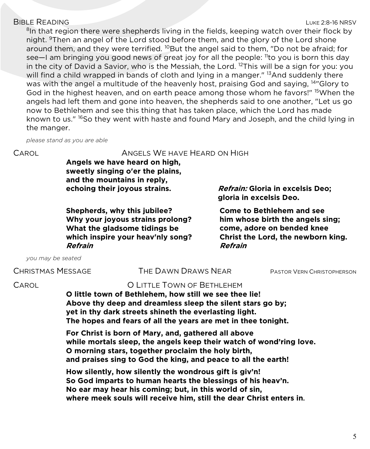#### BIBLE READING LUKE 2:8-16 NRSV

<sup>8</sup>In that region there were shepherds living in the fields, keeping watch over their flock by night. <sup>9</sup>Then an angel of the Lord stood before them, and the glory of the Lord shone around them, and they were terrified. <sup>10</sup>But the angel said to them, "Do not be afraid; for see—I am bringing you good news of great joy for all the people: <sup>11</sup> to you is born this day in the city of David a Savior, who is the Messiah, the Lord.  $12$ This will be a sign for you: you will find a child wrapped in bands of cloth and lying in a manger." <sup>13</sup>And suddenly there was with the angel a multitude of the heavenly host, praising God and saying, <sup>14"</sup>Glory to God in the highest heaven, and on earth peace among those whom he favors!" <sup>15</sup>When the angels had left them and gone into heaven, the shepherds said to one another, "Let us go now to Bethlehem and see this thing that has taken place, which the Lord has made known to us." <sup>16</sup>So they went with haste and found Mary and Joseph, and the child lying in the manger.

*please stand as you are able*

#### CAROL ANGELS WE HAVE HEARD ON HIGH

**Angels we have heard on high, sweetly singing o'er the plains, and the mountains in reply, echoing their joyous strains. Refrain: Gloria in excelsis Deo;**

**Shepherds, why this jubilee? Why your joyous strains prolong? What the gladsome tidings be which inspire your heav'nly song? Refrain**

 **gloria in excelsis Deo.**

**Come to Bethlehem and see him whose birth the angels sing; come, adore on bended knee Christ the Lord, the newborn king. Refrain**

*you may be seated*

#### CHRISTMAS MESSAGE THE DAWN DRAWS NEAR PASTOR VERN CHRISTOPHERSON

# CAROL O LITTLE TOWN OF BETHLEHEM

**O little town of Bethlehem, how still we see thee lie! Above thy deep and dreamless sleep the silent stars go by; yet in thy dark streets shineth the everlasting light. The hopes and fears of all the years are met in thee tonight.**

**For Christ is born of Mary, and, gathered all above while mortals sleep, the angels keep their watch of wond'ring love. O morning stars, together proclaim the holy birth, and praises sing to God the king, and peace to all the earth!**

**How silently, how silently the wondrous gift is giv'n! So God imparts to human hearts the blessings of his heav'n. No ear may hear his coming; but, in this world of sin, where meek souls will receive him, still the dear Christ enters in.**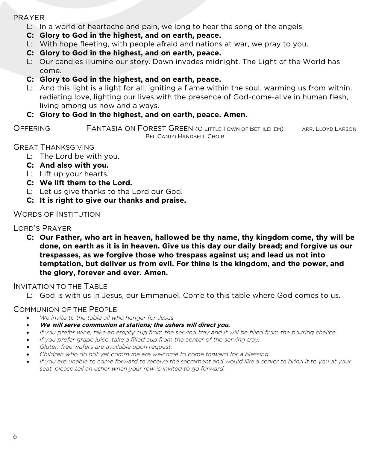#### PRAYER

- L: In a world of heartache and pain, we long to hear the song of the angels.
- **C: Glory to God in the highest, and on earth, peace.**
- L: With hope fleeting, with people afraid and nations at war, we pray to you.
- **C: Glory to God in the highest, and on earth, peace.**
- L: Our candles illumine our story. Dawn invades midnight. The Light of the World has come.
- **C: Glory to God in the highest, and on earth, peace.**
- L: And this light is a light for all; igniting a flame within the soul, warming us from within, radiating love, lighting our lives with the presence of God-come-alive in human flesh, living among us now and always.

# **C: Glory to God in the highest, and on earth, peace. Amen.**

OFFERING FANTASIA ON FOREST GREEN (O LITTLE TOWN OF BETHLEHEM) ARR. LLOYD LARSON BEL CANTO HANDBELL CHOIR

GREAT THANKSGIVING

- L: The Lord be with you.
- **C: And also with you.**
- L: Lift up your hearts.
- **C: We lift them to the Lord.**
- L: Let us give thanks to the Lord our God.
- **C: It is right to give our thanks and praise.**

### WORDS OF INSTITUTION

# LORD'S PRAYER

**C: Our Father, who art in heaven, hallowed be thy name, thy kingdom come, thy will be done, on earth as it is in heaven. Give us this day our daily bread; and forgive us our trespasses, as we forgive those who trespass against us; and lead us not into temptation, but deliver us from evil. For thine is the kingdom, and the power, and the glory, forever and ever. Amen.**

# INVITATION TO THE TABLE

L: God is with us in Jesus, our Emmanuel. Come to this table where God comes to us.

# COMMUNION OF THE PEOPLE

- *We invite to the table all who hunger for Jesus.*
- **We will serve communion at stations; the ushers will direct you.**
- *If you prefer wine, take an empty cup from the serving tray and it will be filled from the pouring chalice.*
- *If you prefer grape juice, take a filled cup from the center of the serving tray.*
- *Gluten-free wafers are available upon request.*
- *Children who do not yet commune are welcome to come forward for a blessing.*
- *If you are unable to come forward to receive the sacrament and would like a server to bring it to you at your seat, please tell an usher when your row is invited to go forward.*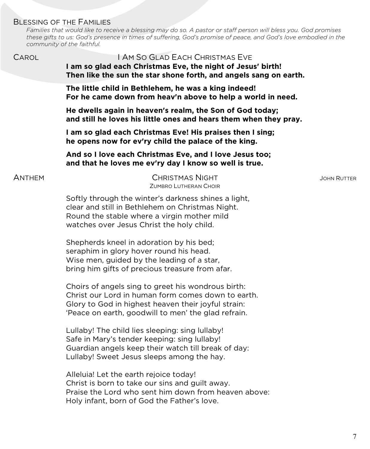# BLESSING OF THE FAMILIES

*Families that would like to receive a blessing may do so. A pastor or staff person will bless you. God promises these gifts to us: God's presence in times of suffering, God's promise of peace, and God's love embodied in the community of the faithful.* 

| CAROL  | I AM SO GLAD EACH CHRISTMAS EVE<br>I am so glad each Christmas Eve, the night of Jesus' birth!<br>Then like the sun the star shone forth, and angels sang on earth.                                                    |                    |
|--------|------------------------------------------------------------------------------------------------------------------------------------------------------------------------------------------------------------------------|--------------------|
|        | The little child in Bethlehem, he was a king indeed!<br>For he came down from heav'n above to help a world in need.                                                                                                    |                    |
|        | He dwells again in heaven's realm, the Son of God today;<br>and still he loves his little ones and hears them when they pray.                                                                                          |                    |
|        | I am so glad each Christmas Eve! His praises then I sing;<br>he opens now for ev'ry child the palace of the king.                                                                                                      |                    |
|        | And so I love each Christmas Eve, and I love Jesus too;<br>and that he loves me ev'ry day I know so well is true.                                                                                                      |                    |
| Anthem | <b>CHRISTMAS NIGHT</b><br>ZUMBRO LUTHERAN CHOIR                                                                                                                                                                        | <b>JOHN RUTTER</b> |
|        | Softly through the winter's darkness shines a light,<br>clear and still in Bethlehem on Christmas Night.<br>Round the stable where a virgin mother mild<br>watches over Jesus Christ the holy child.                   |                    |
|        | Shepherds kneel in adoration by his bed;<br>seraphim in glory hover round his head.<br>Wise men, guided by the leading of a star,<br>bring him gifts of precious treasure from afar.                                   |                    |
|        | Choirs of angels sing to greet his wondrous birth:<br>Christ our Lord in human form comes down to earth.<br>Glory to God in highest heaven their joyful strain:<br>'Peace on earth, goodwill to men' the glad refrain. |                    |
|        | Lullaby! The child lies sleeping: sing lullaby!<br>Safe in Mary's tender keeping: sing lullaby!<br>Guardian angels keep their watch till break of day:<br>Lullaby! Sweet Jesus sleeps among the hay.                   |                    |
|        | Alleluia! Let the earth rejoice today!<br>Christ is born to take our sins and guilt away.                                                                                                                              |                    |

Praise the Lord who sent him down from heaven above: Holy infant, born of God the Father's love.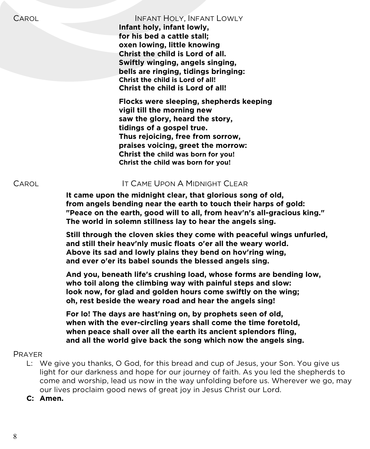CAROL INFANT HOLY, INFANT LOWLY

**Infant holy, infant lowly, for his bed a cattle stall; oxen lowing, little knowing Christ the child is Lord of all. Swiftly winging, angels singing, bells are ringing, tidings bringing: Christ the child is Lord of all! Christ the child is Lord of all!**

**Flocks were sleeping, shepherds keeping vigil till the morning new saw the glory, heard the story, tidings of a gospel true. Thus rejoicing, free from sorrow, praises voicing, greet the morrow: Christ the child was born for you! Christ the child was born for you!**

### CAROL **IT CAME UPON A MIDNIGHT CLEAR**

**It came upon the midnight clear, that glorious song of old, from angels bending near the earth to touch their harps of gold: "Peace on the earth, good will to all, from heav'n's all-gracious king." The world in solemn stillness lay to hear the angels sing.**

**Still through the cloven skies they come with peaceful wings unfurled, and still their heav'nly music floats o'er all the weary world. Above its sad and lowly plains they bend on hov'ring wing, and ever o'er its babel sounds the blessed angels sing.**

**And you, beneath life's crushing load, whose forms are bending low, who toil along the climbing way with painful steps and slow: look now, for glad and golden hours come swiftly on the wing; oh, rest beside the weary road and hear the angels sing!**

**For lo! The days are hast'ning on, by prophets seen of old, when with the ever-circling years shall come the time foretold, when peace shall over all the earth its ancient splendors fling, and all the world give back the song which now the angels sing.**

#### PRAYER

- L: We give you thanks, O God, for this bread and cup of Jesus, your Son. You give us light for our darkness and hope for our journey of faith. As you led the shepherds to come and worship, lead us now in the way unfolding before us. Wherever we go, may our lives proclaim good news of great joy in Jesus Christ our Lord.
- **C: Amen.**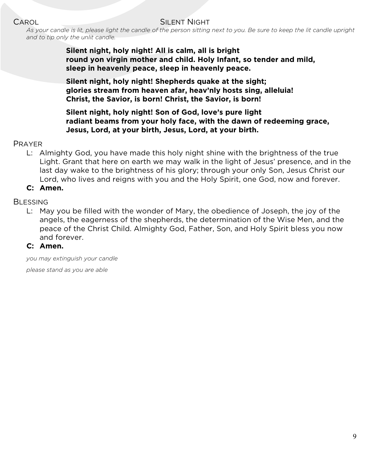### CAROL SILENT NIGHT

*As your candle is lit, please light the candle of the person sitting next to you. Be sure to keep the lit candle upright and to tip only the unlit candle.*

> **Silent night, holy night! All is calm, all is bright round yon virgin mother and child. Holy Infant, so tender and mild, sleep in heavenly peace, sleep in heavenly peace.**

**Silent night, holy night! Shepherds quake at the sight; glories stream from heaven afar, heav'nly hosts sing, alleluia! Christ, the Savior, is born! Christ, the Savior, is born!**

**Silent night, holy night! Son of God, love's pure light radiant beams from your holy face, with the dawn of redeeming grace, Jesus, Lord, at your birth, Jesus, Lord, at your birth.**

# PRAYER

L: Almighty God, you have made this holy night shine with the brightness of the true Light. Grant that here on earth we may walk in the light of Jesus' presence, and in the last day wake to the brightness of his glory; through your only Son, Jesus Christ our Lord, who lives and reigns with you and the Holy Spirit, one God, now and forever.

# **C: Amen.**

# **BLESSING**

L: May you be filled with the wonder of Mary, the obedience of Joseph, the joy of the angels, the eagerness of the shepherds, the determination of the Wise Men, and the peace of the Christ Child. Almighty God, Father, Son, and Holy Spirit bless you now and forever.

# **C: Amen.**

*you may extinguish your candle*

*please stand as you are able*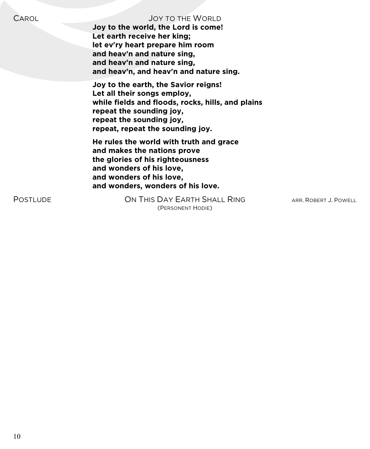#### CAROL JOY TO THE WORLD

**Joy to the world, the Lord is come! Let earth receive her king; let ev'ry heart prepare him room and heav'n and nature sing, and heav'n and nature sing, and heav'n, and heav'n and nature sing.**

**Joy to the earth, the Savior reigns! Let all their songs employ, while fields and floods, rocks, hills, and plains repeat the sounding joy, repeat the sounding joy, repeat, repeat the sounding joy.**

**He rules the world with truth and grace and makes the nations prove the glories of his righteousness and wonders of his love, and wonders of his love, and wonders, wonders of his love.**

POSTLUDE ON THIS DAY EARTH SHALL RING ARR. ROBERT J. POWELL (PERSONENT HODIE)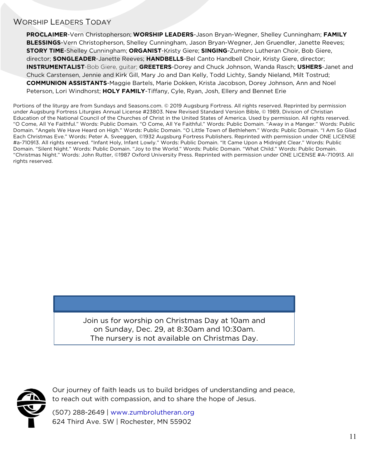# WORSHIP LEADERS TODAY

**PROCLAIMER**-Vern Christopherson; **WORSHIP LEADERS**-Jason Bryan-Wegner, Shelley Cunningham; **FAMILY BLESSINGS**-Vern Christopherson, Shelley Cunningham, Jason Bryan-Wegner, Jen Gruendler, Janette Reeves; **STORY TIME**-Shelley Cunningham; **ORGANIST**-Kristy Giere; **SINGING**-Zumbro Lutheran Choir, Bob Giere, director; **SONGLEADER**-Janette Reeves; **HANDBELLS**-Bel Canto Handbell Choir, Kristy Giere, director; **INSTRUMENTALIST**-Bob Giere, guitar; **GREETERS**-Dorey and Chuck Johnson, Wanda Rasch; **USHERS**-Janet and Chuck Carstensen, Jennie and Kirk Gill, Mary Jo and Dan Kelly, Todd Lichty, Sandy Nieland, Milt Tostrud; **COMMUNION ASSISTANTS**-Maggie Bartels, Marie Dokken, Krista Jacobson, Dorey Johnson, Ann and Noel Peterson, Lori Windhorst; **HOLY FAMILY**-Tiffany, Cyle, Ryan, Josh, Ellery and Bennet Erie

Portions of the liturgy are from Sundays and Seasons.com. © 2019 Augsburg Fortress. All rights reserved. Reprinted by permission under Augsburg Fortress Liturgies Annual License #23803. New Revised Standard Version Bible, © 1989, Division of Christian Education of the National Council of the Churches of Christ in the United States of America. Used by permission. All rights reserved. "O Come, All Ye Faithful." Words: Public Domain. "O Come, All Ye Faithful." Words: Public Domain. "Away in a Manger." Words: Public Domain. "Angels We Have Heard on High." Words: Public Domain. "O Little Town of Bethlehem." Words: Public Domain. "I Am So Glad Each Christmas Eve." Words: Peter A. Sveeggen, ©1932 Augsburg Fortress Publishers. Reprinted with permission under ONE LICENSE #a-710913. All rights reserved. "Infant Holy, Infant Lowly." Words: Public Domain. "It Came Upon a Midnight Clear." Words: Public Domain. "Silent Night." Words: Public Domain. "Joy to the World." Words: Public Domain. "What Child." Words: Public Domain. "Christmas Night." Words: John Rutter, ©1987 Oxford University Press. Reprinted with permission under ONE LICENSE #A-710913. All rights reserved.

> Join us for worship on Christmas Day at 10am and on Sunday, Dec. 29, at 8:30am and 10:30am. The nursery is not available on Christmas Day.



Our journey of faith leads us to build bridges of understanding and peace, to reach out with compassion, and to share the hope of Jesus.

(507) 288-2649 [| www.zumbrolutheran.org](http://www.zumbrolutheran.org/) 624 Third Ave. SW | Rochester, MN 55902